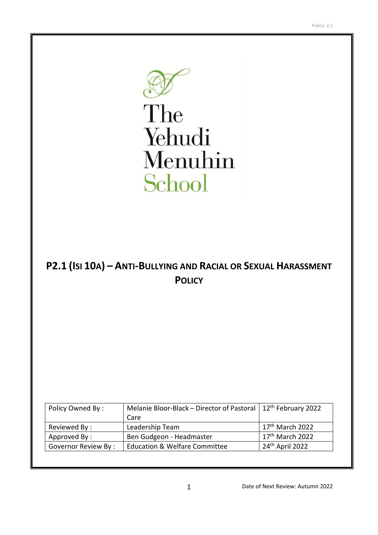

The Yehudi Menuhin School

# **P2.1 (ISI 10A) – ANTI-BULLYING AND RACIAL OR SEXUAL HARASSMENT POLICY**

| Care                                     |                                                                             |
|------------------------------------------|-----------------------------------------------------------------------------|
| Leadership Team                          | 17 <sup>th</sup> March 2022                                                 |
| Ben Gudgeon - Headmaster                 | $17th$ March 2022                                                           |
| <b>Education &amp; Welfare Committee</b> | 24 <sup>th</sup> April 2022                                                 |
|                                          | Melanie Bloor-Black - Director of Pastoral   12 <sup>th</sup> February 2022 |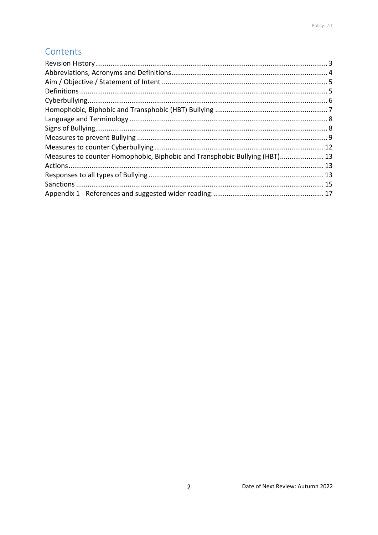## Contents

| Measures to counter Homophobic, Biphobic and Transphobic Bullying (HBT) 13 |  |
|----------------------------------------------------------------------------|--|
|                                                                            |  |
|                                                                            |  |
|                                                                            |  |
|                                                                            |  |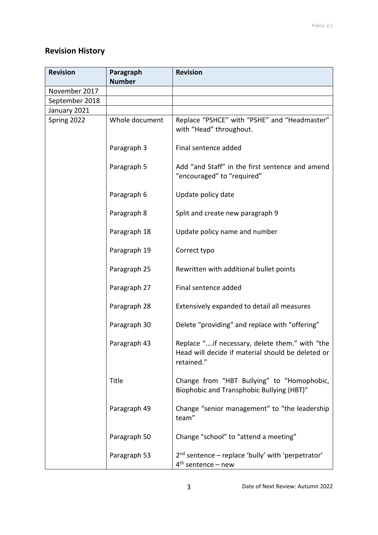## <span id="page-2-0"></span>**Revision History**

| <b>Revision</b> | Paragraph<br><b>Number</b> | <b>Revision</b>                                                                                                   |
|-----------------|----------------------------|-------------------------------------------------------------------------------------------------------------------|
| November 2017   |                            |                                                                                                                   |
| September 2018  |                            |                                                                                                                   |
| January 2021    |                            |                                                                                                                   |
| Spring 2022     | Whole document             | Replace "PSHCE" with "PSHE" and "Headmaster"<br>with "Head" throughout.                                           |
|                 | Paragraph 3                | Final sentence added                                                                                              |
|                 | Paragraph 5                | Add "and Staff" in the first sentence and amend<br>"encouraged" to "required"                                     |
|                 | Paragraph 6                | Update policy date                                                                                                |
|                 | Paragraph 8                | Split and create new paragraph 9                                                                                  |
|                 | Paragraph 18               | Update policy name and number                                                                                     |
|                 | Paragraph 19               | Correct typo                                                                                                      |
|                 | Paragraph 25               | Rewritten with additional bullet points                                                                           |
|                 | Paragraph 27               | Final sentence added                                                                                              |
|                 | Paragraph 28               | Extensively expanded to detail all measures                                                                       |
|                 | Paragraph 30               | Delete "providing" and replace with "offering"                                                                    |
|                 | Paragraph 43               | Replace "if necessary, delete them." with "the<br>Head will decide if material should be deleted or<br>retained." |
|                 | Title                      | Change from "HBT Bullying" to "Homophobic,<br>Biophobic and Transphobic Bullying (HBT)"                           |
|                 | Paragraph 49               | Change "senior management" to "the leadership<br>team"                                                            |
|                 | Paragraph 50               | Change "school" to "attend a meeting"                                                                             |
|                 | Paragraph 53               | 2 <sup>nd</sup> sentence – replace 'bully' with 'perpetrator'<br>$4th$ sentence – new                             |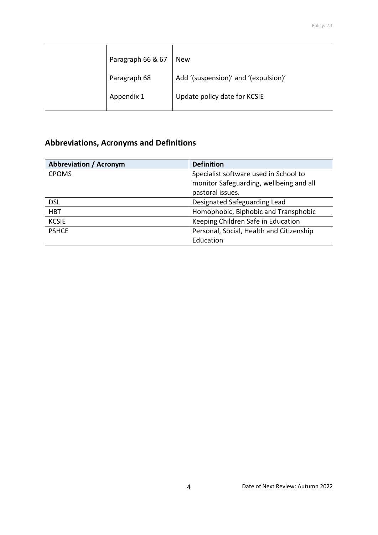| Paragraph 66 & 67 | <b>New</b>                           |
|-------------------|--------------------------------------|
| Paragraph 68      | Add '(suspension)' and '(expulsion)' |
| Appendix 1        | Update policy date for KCSIE         |

## <span id="page-3-0"></span>**Abbreviations, Acronyms and Definitions**

| <b>Abbreviation / Acronym</b> | <b>Definition</b>                        |
|-------------------------------|------------------------------------------|
| <b>CPOMS</b>                  | Specialist software used in School to    |
|                               | monitor Safeguarding, wellbeing and all  |
|                               | pastoral issues.                         |
| <b>DSL</b>                    | Designated Safeguarding Lead             |
| <b>HBT</b>                    | Homophobic, Biphobic and Transphobic     |
| <b>KCSIE</b>                  | Keeping Children Safe in Education       |
| <b>PSHCE</b>                  | Personal, Social, Health and Citizenship |
|                               | Education                                |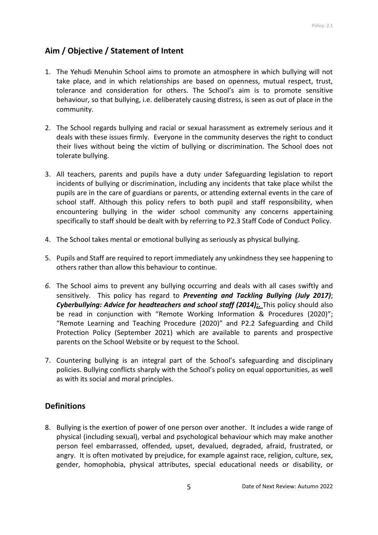## <span id="page-4-0"></span>**Aim / Objective / Statement of Intent**

- 1. The Yehudi Menuhin School aims to promote an atmosphere in which bullying will not take place, and in which relationships are based on openness, mutual respect, trust, tolerance and consideration for others. The School's aim is to promote sensitive behaviour, so that bullying, i.e. deliberately causing distress, is seen as out of place in the community.
- 2. The School regards bullying and racial or sexual harassment as extremely serious and it deals with these issues firmly. Everyone in the community deserves the right to conduct their lives without being the victim of bullying or discrimination. The School does not tolerate bullying.
- 3. All teachers, parents and pupils have a duty under Safeguarding legislation to report incidents of bullying or discrimination, including any incidents that take place whilst the pupils are in the care of guardians or parents, or attending external events in the care of school staff. Although this policy refers to both pupil and staff responsibility, when encountering bullying in the wider school community any concerns appertaining specifically to staff should be dealt with by referring to P2.3 Staff Code of Conduct Policy.
- 4. The School takes mental or emotional bullying as seriously as physical bullying.
- 5. Pupils and Staff are required to report immediately any unkindness they see happening to others rather than allow this behaviour to continue.
- *6.* The School aims to prevent any bullying occurring and deals with all cases swiftly and sensitively. This policy has regard to *Preventing and Tackling Bullying (July 2017)*; *Cyberbullying: Advice for headteachers and school staff (2014);.* This policy should also be read in conjunction with "Remote Working Information & Procedures (2020)"; "Remote Learning and Teaching Procedure (2020)" and P2.2 Safeguarding and Child Protection Policy (September 2021) which are available to parents and prospective parents on the School Website or by request to the School.
- 7. Countering bullying is an integral part of the School's safeguarding and disciplinary policies. Bullying conflicts sharply with the School's policy on equal opportunities, as well as with its social and moral principles.

### <span id="page-4-1"></span>**Definitions**

8. Bullying is the exertion of power of one person over another. It includes a wide range of physical (including sexual), verbal and psychological behaviour which may make another person feel embarrassed, offended, upset, devalued, degraded, afraid, frustrated, or angry. It is often motivated by prejudice, for example against race, religion, culture, sex, gender, homophobia, physical attributes, special educational needs or disability, or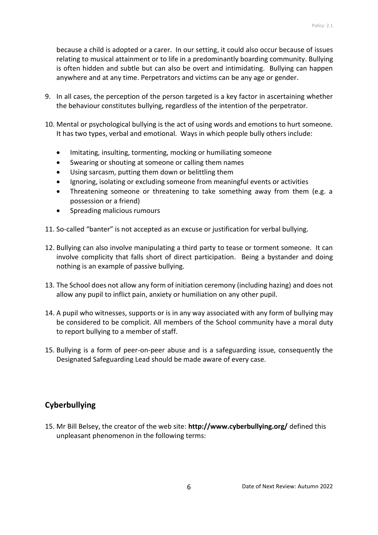because a child is adopted or a carer. In our setting, it could also occur because of issues relating to musical attainment or to life in a predominantly boarding community. Bullying is often hidden and subtle but can also be overt and intimidating. Bullying can happen anywhere and at any time. Perpetrators and victims can be any age or gender.

- 9. In all cases, the perception of the person targeted is a key factor in ascertaining whether the behaviour constitutes bullying, regardless of the intention of the perpetrator.
- 10. Mental or psychological bullying is the act of using words and emotions to hurt someone. It has two types, verbal and emotional. Ways in which people bully others include:
	- Imitating, insulting, tormenting, mocking or humiliating someone
	- Swearing or shouting at someone or calling them names
	- Using sarcasm, putting them down or belittling them
	- Ignoring, isolating or excluding someone from meaningful events or activities
	- Threatening someone or threatening to take something away from them (e.g. a possession or a friend)
	- Spreading malicious rumours
- 11. So-called "banter" is not accepted as an excuse or justification for verbal bullying.
- 12. Bullying can also involve manipulating a third party to tease or torment someone. It can involve complicity that falls short of direct participation. Being a bystander and doing nothing is an example of passive bullying.
- 13. The School does not allow any form of initiation ceremony (including hazing) and does not allow any pupil to inflict pain, anxiety or humiliation on any other pupil.
- 14. A pupil who witnesses, supports or is in any way associated with any form of bullying may be considered to be complicit. All members of the School community have a moral duty to report bullying to a member of staff.
- 15. Bullying is a form of peer-on-peer abuse and is a safeguarding issue, consequently the Designated Safeguarding Lead should be made aware of every case.

## <span id="page-5-0"></span>**Cyberbullying**

15. Mr Bill Belsey, the creator of the web site: **<http://www.cyberbullying.org/>** defined this unpleasant phenomenon in the following terms: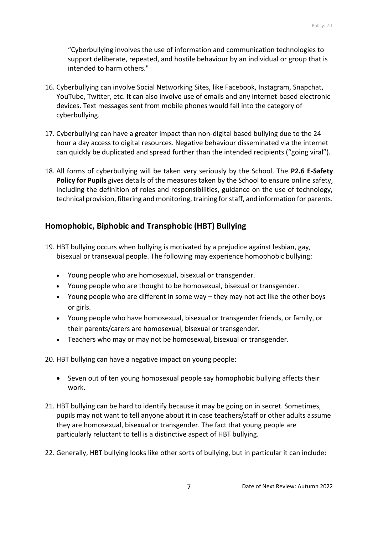"Cyberbullying involves the use of information and communication technologies to support deliberate, repeated, and hostile behaviour by an individual or group that is intended to harm others."

- 16. Cyberbullying can involve Social Networking Sites, like Facebook, Instagram, Snapchat, YouTube, Twitter, etc. It can also involve use of emails and any internet-based electronic devices. Text messages sent from mobile phones would fall into the category of cyberbullying.
- 17. Cyberbullying can have a greater impact than non-digital based bullying due to the 24 hour a day access to digital resources. Negative behaviour disseminated via the internet can quickly be duplicated and spread further than the intended recipients ("going viral").
- 18. All forms of cyberbullying will be taken very seriously by the School. The **P2.6 E-Safety Policy for Pupils** gives details of the measures taken by the School to ensure online safety, including the definition of roles and responsibilities, guidance on the use of technology, technical provision, filtering and monitoring, training for staff, and information for parents.

## <span id="page-6-0"></span>**Homophobic, Biphobic and Transphobic (HBT) Bullying**

- 19. HBT bullying occurs when bullying is motivated by a prejudice against lesbian, gay, bisexual or transexual people. The following may experience homophobic bullying:
	- Young people who are homosexual, bisexual or transgender.
	- Young people who are thought to be homosexual, bisexual or transgender.
	- Young people who are different in some way they may not act like the other boys or girls.
	- Young people who have homosexual, bisexual or transgender friends, or family, or their parents/carers are homosexual, bisexual or transgender.
	- Teachers who may or may not be homosexual, bisexual or transgender.

20. HBT bullying can have a negative impact on young people:

- Seven out of ten young homosexual people say homophobic bullying affects their work.
- 21. HBT bullying can be hard to identify because it may be going on in secret. Sometimes, pupils may not want to tell anyone about it in case teachers/staff or other adults assume they are homosexual, bisexual or transgender. The fact that young people are particularly reluctant to tell is a distinctive aspect of HBT bullying.
- 22. Generally, HBT bullying looks like other sorts of bullying, but in particular it can include: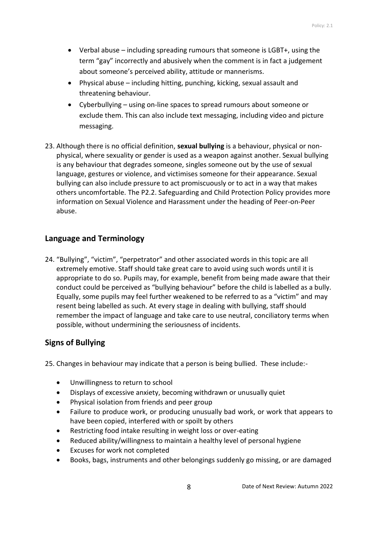- Verbal abuse including spreading rumours that someone is LGBT+, using the term "gay" incorrectly and abusively when the comment is in fact a judgement about someone's perceived ability, attitude or mannerisms.
- Physical abuse including hitting, punching, kicking, sexual assault and threatening behaviour.
- Cyberbullying using on-line spaces to spread rumours about someone or exclude them. This can also include text messaging, including video and picture messaging.
- 23. Although there is no official definition, **sexual bullying** is a behaviour, physical or nonphysical, where sexuality or gender is used as a weapon against another. Sexual bullying is any behaviour that degrades someone, singles someone out by the use of sexual language, gestures or violence, and victimises someone for their appearance. Sexual bullying can also include pressure to act promiscuously or to act in a way that makes others uncomfortable. The P2.2. Safeguarding and Child Protection Policy provides more information on Sexual Violence and Harassment under the heading of Peer-on-Peer abuse.

#### <span id="page-7-0"></span>**Language and Terminology**

24. "Bullying", "victim", "perpetrator" and other associated words in this topic are all extremely emotive. Staff should take great care to avoid using such words until it is appropriate to do so. Pupils may, for example, benefit from being made aware that their conduct could be perceived as "bullying behaviour" before the child is labelled as a bully. Equally, some pupils may feel further weakened to be referred to as a "victim" and may resent being labelled as such. At every stage in dealing with bullying, staff should remember the impact of language and take care to use neutral, conciliatory terms when possible, without undermining the seriousness of incidents.

### <span id="page-7-1"></span>**Signs of Bullying**

25. Changes in behaviour may indicate that a person is being bullied. These include:-

- Unwillingness to return to school
- Displays of excessive anxiety, becoming withdrawn or unusually quiet
- Physical isolation from friends and peer group
- Failure to produce work, or producing unusually bad work, or work that appears to have been copied, interfered with or spoilt by others
- Restricting food intake resulting in weight loss or over-eating
- Reduced ability/willingness to maintain a healthy level of personal hygiene
- Excuses for work not completed
- Books, bags, instruments and other belongings suddenly go missing, or are damaged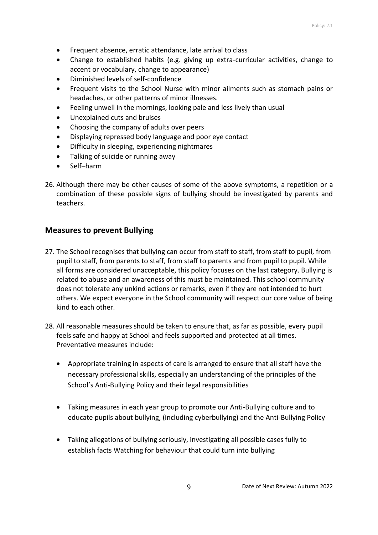- Frequent absence, erratic attendance, late arrival to class
- Change to established habits (e.g. giving up extra-curricular activities, change to accent or vocabulary, change to appearance)
- Diminished levels of self-confidence
- Frequent visits to the School Nurse with minor ailments such as stomach pains or headaches, or other patterns of minor illnesses.
- Feeling unwell in the mornings, looking pale and less lively than usual
- Unexplained cuts and bruises
- Choosing the company of adults over peers
- Displaying repressed body language and poor eye contact
- Difficulty in sleeping, experiencing nightmares
- Talking of suicide or running away
- Self–harm
- 26. Although there may be other causes of some of the above symptoms, a repetition or a combination of these possible signs of bullying should be investigated by parents and teachers.

#### <span id="page-8-0"></span>**Measures to prevent Bullying**

- 27. The School recognises that bullying can occur from staff to staff, from staff to pupil, from pupil to staff, from parents to staff, from staff to parents and from pupil to pupil. While all forms are considered unacceptable, this policy focuses on the last category. Bullying is related to abuse and an awareness of this must be maintained. This school community does not tolerate any unkind actions or remarks, even if they are not intended to hurt others. We expect everyone in the School community will respect our core value of being kind to each other.
- 28. All reasonable measures should be taken to ensure that, as far as possible, every pupil feels safe and happy at School and feels supported and protected at all times. Preventative measures include:
	- Appropriate training in aspects of care is arranged to ensure that all staff have the necessary professional skills, especially an understanding of the principles of the School's Anti-Bullying Policy and their legal responsibilities
	- Taking measures in each year group to promote our Anti-Bullying culture and to educate pupils about bullying, (including cyberbullying) and the Anti-Bullying Policy
	- Taking allegations of bullying seriously, investigating all possible cases fully to establish facts Watching for behaviour that could turn into bullying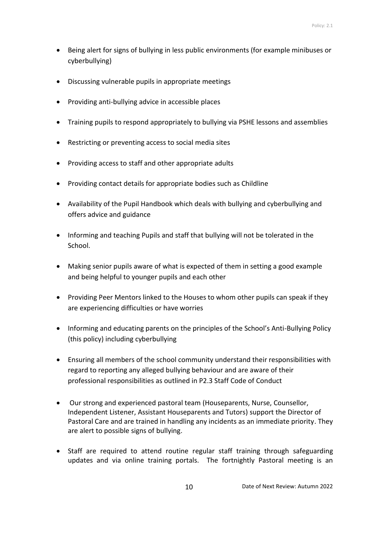- Being alert for signs of bullying in less public environments (for example minibuses or cyberbullying)
- Discussing vulnerable pupils in appropriate meetings
- Providing anti-bullying advice in accessible places
- Training pupils to respond appropriately to bullying via PSHE lessons and assemblies
- Restricting or preventing access to social media sites
- Providing access to staff and other appropriate adults
- Providing contact details for appropriate bodies such as Childline
- Availability of the Pupil Handbook which deals with bullying and cyberbullying and offers advice and guidance
- Informing and teaching Pupils and staff that bullying will not be tolerated in the School.
- Making senior pupils aware of what is expected of them in setting a good example and being helpful to younger pupils and each other
- Providing Peer Mentors linked to the Houses to whom other pupils can speak if they are experiencing difficulties or have worries
- Informing and educating parents on the principles of the School's Anti-Bullying Policy (this policy) including cyberbullying
- Ensuring all members of the school community understand their responsibilities with regard to reporting any alleged bullying behaviour and are aware of their professional responsibilities as outlined in P2.3 Staff Code of Conduct
- Our strong and experienced pastoral team (Houseparents, Nurse, Counsellor, Independent Listener, Assistant Houseparents and Tutors) support the Director of Pastoral Care and are trained in handling any incidents as an immediate priority. They are alert to possible signs of bullying.
- Staff are required to attend routine regular staff training through safeguarding updates and via online training portals. The fortnightly Pastoral meeting is an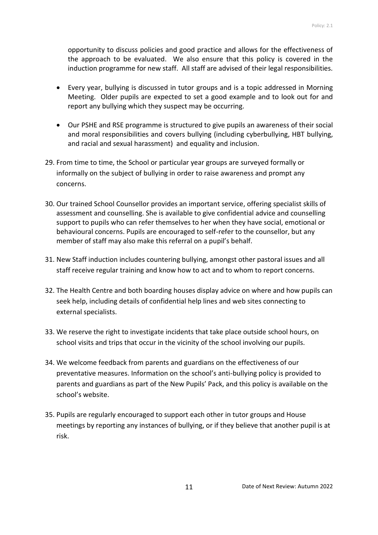opportunity to discuss policies and good practice and allows for the effectiveness of the approach to be evaluated. We also ensure that this policy is covered in the induction programme for new staff. All staff are advised of their legal responsibilities.

- Every year, bullying is discussed in tutor groups and is a topic addressed in Morning Meeting. Older pupils are expected to set a good example and to look out for and report any bullying which they suspect may be occurring.
- Our PSHE and RSE programme is structured to give pupils an awareness of their social and moral responsibilities and covers bullying (including cyberbullying, HBT bullying, and racial and sexual harassment) and equality and inclusion.
- 29. From time to time, the School or particular year groups are surveyed formally or informally on the subject of bullying in order to raise awareness and prompt any concerns.
- 30. Our trained School Counsellor provides an important service, offering specialist skills of assessment and counselling. She is available to give confidential advice and counselling support to pupils who can refer themselves to her when they have social, emotional or behavioural concerns. Pupils are encouraged to self-refer to the counsellor, but any member of staff may also make this referral on a pupil's behalf.
- 31. New Staff induction includes countering bullying, amongst other pastoral issues and all staff receive regular training and know how to act and to whom to report concerns.
- 32. The Health Centre and both boarding houses display advice on where and how pupils can seek help, including details of confidential help lines and web sites connecting to external specialists.
- 33. We reserve the right to investigate incidents that take place outside school hours, on school visits and trips that occur in the vicinity of the school involving our pupils.
- 34. We welcome feedback from parents and guardians on the effectiveness of our preventative measures. Information on the school's anti-bullying policy is provided to parents and guardians as part of the New Pupils' Pack, and this policy is available on the school's website.
- 35. Pupils are regularly encouraged to support each other in tutor groups and House meetings by reporting any instances of bullying, or if they believe that another pupil is at risk.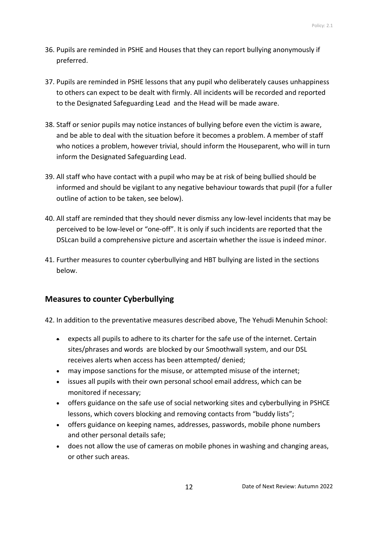- 36. Pupils are reminded in PSHE and Houses that they can report bullying anonymously if preferred.
- 37. Pupils are reminded in PSHE lessons that any pupil who deliberately causes unhappiness to others can expect to be dealt with firmly. All incidents will be recorded and reported to the Designated Safeguarding Lead and the Head will be made aware.
- 38. Staff or senior pupils may notice instances of bullying before even the victim is aware, and be able to deal with the situation before it becomes a problem. A member of staff who notices a problem, however trivial, should inform the Houseparent, who will in turn inform the Designated Safeguarding Lead.
- 39. All staff who have contact with a pupil who may be at risk of being bullied should be informed and should be vigilant to any negative behaviour towards that pupil (for a fuller outline of action to be taken, see below).
- 40. All staff are reminded that they should never dismiss any low-level incidents that may be perceived to be low-level or "one-off". It is only if such incidents are reported that the DSLcan build a comprehensive picture and ascertain whether the issue is indeed minor.
- 41. Further measures to counter cyberbullying and HBT bullying are listed in the sections below.

### <span id="page-11-0"></span>**Measures to counter Cyberbullying**

42. In addition to the preventative measures described above, The Yehudi Menuhin School:

- expects all pupils to adhere to its charter for the safe use of the internet. Certain sites/phrases and words are blocked by our Smoothwall system, and our DSL receives alerts when access has been attempted/ denied;
- may impose sanctions for the misuse, or attempted misuse of the internet;
- issues all pupils with their own personal school email address, which can be monitored if necessary;
- offers guidance on the safe use of social networking sites and cyberbullying in PSHCE lessons, which covers blocking and removing contacts from "buddy lists";
- offers guidance on keeping names, addresses, passwords, mobile phone numbers and other personal details safe;
- does not allow the use of cameras on mobile phones in washing and changing areas, or other such areas.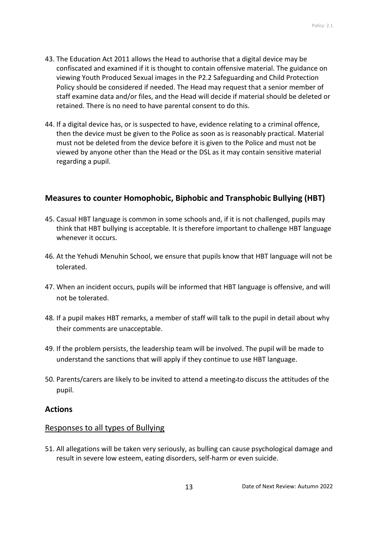- 43. The Education Act 2011 allows the Head to authorise that a digital device may be confiscated and examined if it is thought to contain offensive material. The guidance on viewing Youth Produced Sexual images in the P2.2 Safeguarding and Child Protection Policy should be considered if needed. The Head may request that a senior member of staff examine data and/or files, and the Head will decide if material should be deleted or retained. There is no need to have parental consent to do this.
- 44. If a digital device has, or is suspected to have, evidence relating to a criminal offence, then the device must be given to the Police as soon as is reasonably practical. Material must not be deleted from the device before it is given to the Police and must not be viewed by anyone other than the Head or the DSL as it may contain sensitive material regarding a pupil.

## <span id="page-12-0"></span>**Measures to counter Homophobic, Biphobic and Transphobic Bullying (HBT)**

- 45. Casual HBT language is common in some schools and, if it is not challenged, pupils may think that HBT bullying is acceptable. It is therefore important to challenge HBT language whenever it occurs.
- 46. At the Yehudi Menuhin School, we ensure that pupils know that HBT language will not be tolerated.
- 47. When an incident occurs, pupils will be informed that HBT language is offensive, and will not be tolerated.
- 48. If a pupil makes HBT remarks, a member of staff will talk to the pupil in detail about why their comments are unacceptable.
- 49. If the problem persists, the leadership team will be involved. The pupil will be made to understand the sanctions that will apply if they continue to use HBT language.
- 50. Parents/carers are likely to be invited to attend a meeting to discuss the attitudes of the pupil.

### <span id="page-12-1"></span>**Actions**

### <span id="page-12-2"></span>Responses to all types of Bullying

51. All allegations will be taken very seriously, as bulling can cause psychological damage and result in severe low esteem, eating disorders, self-harm or even suicide.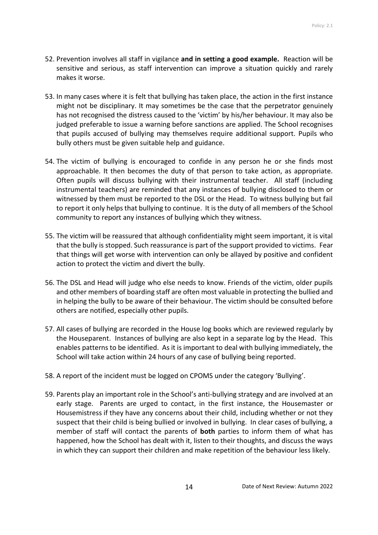- 52. Prevention involves all staff in vigilance **and in setting a good example.** Reaction will be sensitive and serious, as staff intervention can improve a situation quickly and rarely makes it worse.
- 53. In many cases where it is felt that bullying has taken place, the action in the first instance might not be disciplinary. It may sometimes be the case that the perpetrator genuinely has not recognised the distress caused to the 'victim' by his/her behaviour. It may also be judged preferable to issue a warning before sanctions are applied. The School recognises that pupils accused of bullying may themselves require additional support. Pupils who bully others must be given suitable help and guidance.
- 54. The victim of bullying is encouraged to confide in any person he or she finds most approachable. It then becomes the duty of that person to take action, as appropriate. Often pupils will discuss bullying with their instrumental teacher. All staff (including instrumental teachers) are reminded that any instances of bullying disclosed to them or witnessed by them must be reported to the DSL or the Head. To witness bullying but fail to report it only helps that bullying to continue. It is the duty of all members of the School community to report any instances of bullying which they witness.
- 55. The victim will be reassured that although confidentiality might seem important, it is vital that the bully is stopped. Such reassurance is part of the support provided to victims. Fear that things will get worse with intervention can only be allayed by positive and confident action to protect the victim and divert the bully.
- 56. The DSL and Head will judge who else needs to know. Friends of the victim, older pupils and other members of boarding staff are often most valuable in protecting the bullied and in helping the bully to be aware of their behaviour. The victim should be consulted before others are notified, especially other pupils.
- 57. All cases of bullying are recorded in the House log books which are reviewed regularly by the Houseparent. Instances of bullying are also kept in a separate log by the Head. This enables patterns to be identified. As it is important to deal with bullying immediately, the School will take action within 24 hours of any case of bullying being reported.
- 58. A report of the incident must be logged on CPOMS under the category 'Bullying'.
- 59. Parents play an important role in the School's anti-bullying strategy and are involved at an early stage. Parents are urged to contact, in the first instance, the Housemaster or Housemistress if they have any concerns about their child, including whether or not they suspect that their child is being bullied or involved in bullying. In clear cases of bullying, a member of staff will contact the parents of **both** parties to inform them of what has happened, how the School has dealt with it, listen to their thoughts, and discuss the ways in which they can support their children and make repetition of the behaviour less likely.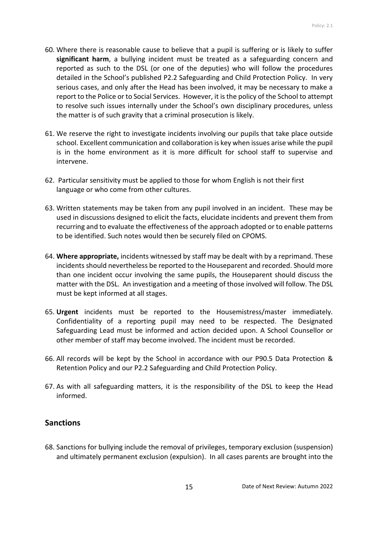- 60. Where there is reasonable cause to believe that a pupil is suffering or is likely to suffer **significant harm**, a bullying incident must be treated as a safeguarding concern and reported as such to the DSL (or one of the deputies) who will follow the procedures detailed in the School's published P2.2 Safeguarding and Child Protection Policy. In very serious cases, and only after the Head has been involved, it may be necessary to make a report to the Police or to Social Services. However, it is the policy of the School to attempt to resolve such issues internally under the School's own disciplinary procedures, unless the matter is of such gravity that a criminal prosecution is likely.
- 61. We reserve the right to investigate incidents involving our pupils that take place outside school. Excellent communication and collaboration is key when issues arise while the pupil is in the home environment as it is more difficult for school staff to supervise and intervene.
- 62. Particular sensitivity must be applied to those for whom English is not their first language or who come from other cultures.
- 63. Written statements may be taken from any pupil involved in an incident. These may be used in discussions designed to elicit the facts, elucidate incidents and prevent them from recurring and to evaluate the effectiveness of the approach adopted or to enable patterns to be identified. Such notes would then be securely filed on CPOMS.
- 64. **Where appropriate,** incidents witnessed by staff may be dealt with by a reprimand. These incidents should nevertheless be reported to the Houseparent and recorded. Should more than one incident occur involving the same pupils, the Houseparent should discuss the matter with the DSL. An investigation and a meeting of those involved will follow. The DSL must be kept informed at all stages.
- 65. **Urgent** incidents must be reported to the Housemistress/master immediately. Confidentiality of a reporting pupil may need to be respected. The Designated Safeguarding Lead must be informed and action decided upon. A School Counsellor or other member of staff may become involved. The incident must be recorded.
- 66. All records will be kept by the School in accordance with our P90.5 Data Protection & Retention Policy and our P2.2 Safeguarding and Child Protection Policy.
- 67. As with all safeguarding matters, it is the responsibility of the DSL to keep the Head informed.

## <span id="page-14-0"></span>**Sanctions**

68. Sanctions for bullying include the removal of privileges, temporary exclusion (suspension) and ultimately permanent exclusion (expulsion). In all cases parents are brought into the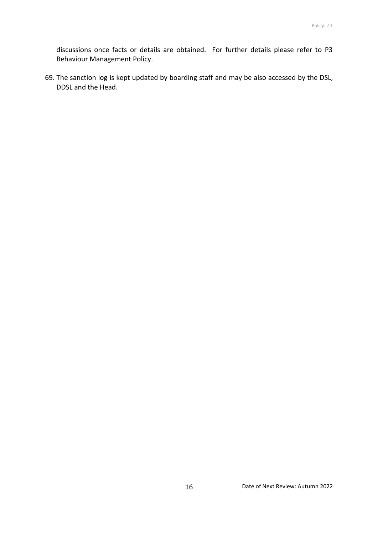discussions once facts or details are obtained. For further details please refer to P3 Behaviour Management Policy.

69. The sanction log is kept updated by boarding staff and may be also accessed by the DSL, DDSL and the Head.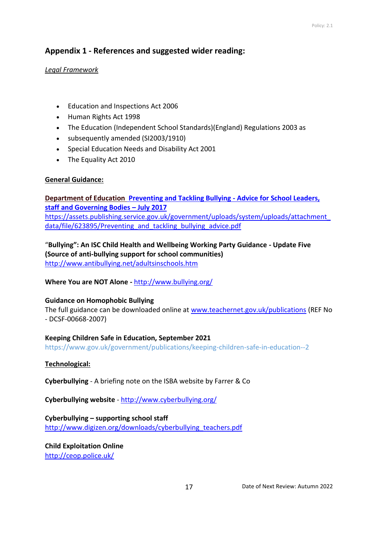### <span id="page-16-0"></span>**Appendix 1 - References and suggested wider reading:**

#### *Legal Framework*

- Education and Inspections Act 2006
- Human Rights Act 1998
- The Education (Independent School Standards)(England) Regulations 2003 as
- subsequently amended (SI2003/1910)
- Special Education Needs and Disability Act 2001
- The Equality Act 2010

#### **General Guidance:**

#### **Department of Education [Preventing and Tackling Bullying -](https://assets.publishing.service.gov.uk/government/uploads/system/uploads/attachment_data/file/623895/Preventing_and_tackling_bullying_advice.pdf) Advice for School Leaders, staff [and Governing Bodies](https://assets.publishing.service.gov.uk/government/uploads/system/uploads/attachment_data/file/623895/Preventing_and_tackling_bullying_advice.pdf) – July 2017** [https://assets.publishing.service.gov.uk/government/uploads/system/uploads/attachment\\_](https://assets.publishing.service.gov.uk/government/uploads/system/uploads/attachment_data/file/623895/Preventing_and_tackling_bullying_advice.pdf) [data/file/623895/Preventing\\_and\\_tackling\\_bullying\\_advice.pdf](https://assets.publishing.service.gov.uk/government/uploads/system/uploads/attachment_data/file/623895/Preventing_and_tackling_bullying_advice.pdf)

"**[Bullying": An ISC Child Health and Wellbeing Working Party Guidance](http://www.antibullying.net/adultsinschools.htm) - Update Five (Source of anti-bullying support for school communities)** <http://www.antibullying.net/adultsinschools.htm>

**[Where You are NOT Alone](http://www.bullying.org/) -** <http://www.bullying.org/>

#### **[Guidance on Homophobic Bullying](http://www.beyondbullying.com/uploads/homophobicbullying.doc)**

The full guidance can be downloaded online at [www.teachernet.gov.uk/publications](http://www.teachernet.gov.uk/publications) (REF No - DCSF-00668-2007)

#### **Keeping Children Safe in Education, September 2021**

https://www.gov.uk/government/publications/keeping-children-safe-in-education--2

#### **Technological:**

**[Cyberbullying](http://vle.sherborne.com/resource.aspx?id=9605)** - A briefing note on the ISBA website by Farrer & Co

**[Cyberbullying website](http://www.cyberbullying.org/)** - <http://www.cyberbullying.org/>

**Cyberbullying – supporting school staff**  [http://www.digizen.org/downloads/cyberbullying\\_teachers.pdf](http://www.digizen.org/downloads/cyberbullying_teachers.pdf)

**Child Exploitation Online** <http://ceop.police.uk/>